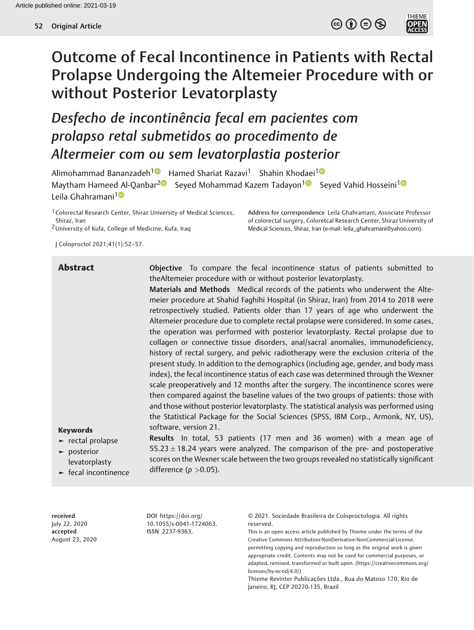$\circledcirc$   $\circledcirc$   $\circledcirc$ 

THEME<br>**OPEN**<br>ACCESS



Desfecho de incontinência fecal em pacientes com prolapso retal submetidos ao procedimento de Altermeier com ou sem levatorplastia posterior

Alimohammad Bananzadeh<sup>[1](https://orcid.org/0000-0003-1116-2294)0</sup> Hamed Shariat Razavi<sup>1</sup> Shahin Khodaei<sup>10</sup> Maytham Hameed Al-Qanbar<sup>[2](https://orcid.org/0000-0003-1519-0188)</sup><sup>1</sup> Seyed Mohammad Kazem Tadayon<sup>1</sup><sup>0</sup> Seyed Vahid Hosseini<sup>1</sup><sup>1</sup> Leila Ghahramani<sup>[1](https://orcid.org/0000-0002-5282-2212)0</sup>

<sup>1</sup> Colorectal Research Center, Shiraz University of Medical Sciences, Shiraz, Iran

2University of Kufa, College of Medicine, Kufa, Iraq

Address for correspondence Leila Ghahramani, Associate Professor of colorectal surgery, Coloretcal Research Center, Shiraz University of Medical Sciences, Shiraz, Iran (e-mail: [leila\\_ghahramani@yahoo.com](mailto:leila_ghahramani@yahoo.com)).

J Coloproctol 2021;41(1):52–57.

Abstract **Compare Compare the fecal incontinence status of patients submitted to** theAltemeier procedure with or without posterior levatorplasty.

> Materials and Methods Medical records of the patients who underwent the Altemeier procedure at Shahid Faghihi Hospital (in Shiraz, Iran) from 2014 to 2018 were retrospectively studied. Patients older than 17 years of age who underwent the Altemeier procedure due to complete rectal prolapse were considered. In some cases, the operation was performed with posterior levatorplasty. Rectal prolapse due to collagen or connective tissue disorders, anal/sacral anomalies, immunodeficiency, history of rectal surgery, and pelvic radiotherapy were the exclusion criteria of the present study. In addition to the demographics (including age, gender, and body mass index), the fecal incontinence status of each case was determined through the Wexner scale preoperatively and 12 months after the surgery. The incontinence scores were then compared against the baseline values of the two groups of patients: those with and those without posterior levatorplasty. The statistical analysis was performed using the Statistical Package for the Social Sciences (SPSS, IBM Corp., Armonk, NY, US), software, version 21.

# Keywords

- ► rectal prolapse
- ► posterior levatorplasty ► fecal incontinence

Results In total, 53 patients (17 men and 36 women) with a mean age of  $55.23 \pm 18.24$  years were analyzed. The comparison of the pre- and postoperative scores on the Wexner scale between the two groups revealed no statistically significant difference ( $p > 0.05$ ).

received July 22, 2020 accepted August 23, 2020

DOI [https://doi.org/](https://doi.org/10.1055/s-0041-1724063) [10.1055/s-0041-1724063](https://doi.org/10.1055/s-0041-1724063). ISSN 2237-9363.

© 2021. Sociedade Brasileira de Coloproctologia. All rights reserved.

This is an open access article published by Thieme under the terms of the Creative Commons Attribution-NonDerivative-NonCommercial-License, permitting copying and reproduction so long as the original work is given appropriate credit. Contents may not be used for commercial purposes, or adapted, remixed, transformed or built upon. (https://creativecommons.org/ licenses/by-nc-nd/4.0/)

Thieme Revinter Publicações Ltda., Rua do Matoso 170, Rio de Janeiro, RJ, CEP 20270-135, Brazil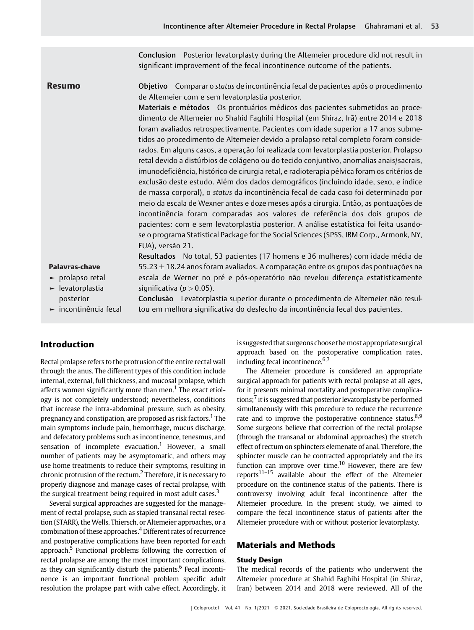Conclusion Posterior levatorplasty during the Altemeier procedure did not result in significant improvement of the fecal incontinence outcome of the patients.

Resumo **Objetivo** Comparar o status de incontinência fecal de pacientes após o procedimento de Altemeier com e sem levatorplastia posterior.

> Materiais e métodos Os prontuários médicos dos pacientes submetidos ao procedimento de Altemeier no Shahid Faghihi Hospital (em Shiraz, Irã) entre 2014 e 2018 foram avaliados retrospectivamente. Pacientes com idade superior a 17 anos submetidos ao procedimento de Altemeier devido a prolapso retal completo foram considerados. Em alguns casos, a operação foi realizada com levatorplastia posterior. Prolapso retal devido a distúrbios de colágeno ou do tecido conjuntivo, anomalias anais/sacrais, imunodeficiência, histórico de cirurgia retal, e radioterapia pélvica foram os critérios de exclusão deste estudo. Além dos dados demográficos (incluindo idade, sexo, e índice de massa corporal), o status da incontinência fecal de cada caso foi determinado por meio da escala de Wexner antes e doze meses após a cirurgia. Então, as pontuações de incontinência foram comparadas aos valores de referência dos dois grupos de pacientes: com e sem levatorplastia posterior. A análise estatística foi feita usandose o programa Statistical Package for the Social Sciences (SPSS, IBM Corp., Armonk, NY, EUA), versão 21.

#### Palavras-chave

- ► prolapso retal
- ► levatorplastia posterior
- ► incontinência fecal

Conclusão Levatorplastia superior durante o procedimento de Altemeier não resultou em melhora significativa do desfecho da incontinência fecal dos pacientes.

Resultados No total, 53 pacientes (17 homens e 36 mulheres) com idade média de  $55.23 \pm 18.24$  anos foram avaliados. A comparação entre os grupos das pontuações na escala de Werner no pré e pós-operatório não revelou diferença estatisticamente

# Introduction

Rectal prolapse refers to the protrusion of the entire rectal wall through the anus. The different types of this condition include internal, external, full thickness, and mucosal prolapse, which affects women significantly more than men.<sup>1</sup> The exact etiology is not completely understood; nevertheless, conditions that increase the intra-abdominal pressure, such as obesity, pregnancy and constipation, are proposed as risk factors.<sup>1</sup> The main symptoms include pain, hemorrhage, mucus discharge, and defecatory problems such as incontinence, tenesmus, and sensation of incomplete evacuation.<sup>1</sup> However, a small number of patients may be asymptomatic, and others may use home treatments to reduce their symptoms, resulting in chronic protrusion of the rectum.<sup>2</sup> Therefore, it is necessary to properly diagnose and manage cases of rectal prolapse, with the surgical treatment being required in most adult cases. $3$ 

significativa ( $p > 0.05$ ).

Several surgical approaches are suggested for the management of rectal prolapse, such as stapled transanal rectal resection (STARR), the Wells, Thiersch, or Altemeier approaches, or a combination of these approaches.<sup>4</sup> Different rates of recurrence and postoperative complications have been reported for each approach. $5$  Functional problems following the correction of rectal prolapse are among the most important complications, as they can significantly disturb the patients.<sup>6</sup> Fecal incontinence is an important functional problem specific adult resolution the prolapse part with calve effect. Accordingly, it

is suggested that surgeons choose themost appropriate surgical approach based on the postoperative complication rates, including fecal incontinence. $6,7$ 

The Altemeier procedure is considered an appropriate surgical approach for patients with rectal prolapse at all ages, for it presents minimal mortality and postoperative complications; $<sup>7</sup>$  it is suggesred that posterior levatorplasty be performed</sup> simultaneously with this procedure to reduce the recurrence rate and to improve the postoperative continence status. $8.9$ Some surgeons believe that correction of the rectal prolapse (through the transanal or abdominal approaches) the stretch effect of rectum on sphincters elemenate of anal. Therefore, the sphincter muscle can be contracted appropriately and the its function can improve over time.<sup>10</sup> However, there are few reports<sup>11–15</sup> available about the effect of the Altemeier procedure on the continence status of the patients. There is controversy involving adult fecal incontinence after the Altemeier procedure. In the present study, we aimed to compare the fecal incontinence status of patients after the Altemeier procedure with or without posterior levatorplasty.

# Materials and Methods

## Study Design

The medical records of the patients who underwent the Altemeier procedure at Shahid Faghihi Hospital (in Shiraz, Iran) between 2014 and 2018 were reviewed. All of the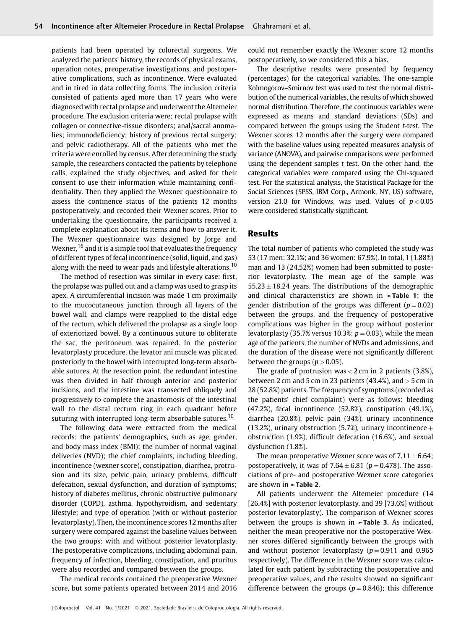patients had been operated by colorectal surgeons. We analyzed the patients' history, the records of physical exams, operation notes, preoperative investigations, and postoperative complications, such as incontinence. Were evaluated and in tired in data collecting forms. The inclusion criteria consisted of patients aged more than 17 years who were diagnosed with rectal prolapse and underwent the Altemeier procedure. The exclusion criteria were: rectal prolapse with collagen or connective-tissue disorders; anal/sacral anomalies; immunodeficiency; history of previous rectal surgery; and pelvic radiotherapy. All of the patients who met the criteria were enrolled by census. After determining the study sample, the researchers contacted the patients by telephone calls, explained the study objectives, and asked for their consent to use their information while maintaining confidentiality. Then they applied the Wexner questionnaire to assess the continence status of the patients 12 months postoperatively, and recorded their Wexner scores. Prior to undertaking the questionnaire, the participants received a complete explanation about its items and how to answer it. The Wexner questionnaire was designed by Jorge and Wexner,<sup>16</sup> and it is a simple tool that evaluates the frequency of different types of fecal incontinence (solid, liquid, and gas) along with the need to wear pads and lifestyle alterations.<sup>10</sup>

The method of resection was similar in every case: first, the prolapse was pulled out and a clamp was used to grasp its apex. A circumferential incision was made 1 cm proximally to the mucocutaneous junction through all layers of the bowel wall, and clamps were reapplied to the distal edge of the rectum, which delivered the prolapse as a single loop of exteriorized bowel. By a continuous suture to obliterate the sac, the peritoneum was repaired. In the posterior levatorplasty procedure, the levator ani muscle was plicated posteriorly to the bowel with interrupted long-term absorbable sutures. At the resection point, the redundant intestine was then divided in half through anterior and posterior incisions, and the intestine was transected obliquely and progressively to complete the anastomosis of the intestinal wall to the distal rectum ring in each quadrant before suturing with interrupted long-term absorbable sutures.<sup>10</sup>

The following data were extracted from the medical records: the patients' demographics, such as age, gender, and body mass index (BMI); the number of normal vaginal deliveries (NVD); the chief complaints, including bleeding, incontinence (wexner score), constipation, diarrhea, protrusion and its size, pelvic pain, urinary problems, difficult defecation, sexual dysfunction, and duration of symptoms; history of diabetes mellitus, chronic obstructive pulmonary disorder (COPD), asthma, hypothyroidism, and sedentary lifestyle; and type of operation (with or without posterior levatorplasty). Then, the incontinence scores 12 months after surgery were compared against the baseline values between the two groups: with and without posterior levatorplasty. The postoperative complications, including abdominal pain, frequency of infection, bleeding, constipation, and pruritus were also recorded and compared between the groups.

The medical records contained the preoperative Wexner score, but some patients operated between 2014 and 2016 could not remember exactly the Wexner score 12 months postoperatively, so we considered this a bias.

The descriptive results were presented by frequency (percentages) for the categorical variables. The one-sample Kolmogorov–Smirnov test was used to test the normal distribution of the numerical variables, the results of which showed normal distribution. Therefore, the continuous variables were expressed as means and standard deviations (SDs) and compared between the groups using the Student t-test. The Wexner scores 12 months after the surgery were compared with the baseline values using repeated measures analysis of variance (ANOVA), and pairwise comparisons were performed using the dependent samples  $t$  test. On the other hand, the categorical variables were compared using the Chi-squared test. For the statistical analysis, the Statistical Package for the Social Sciences (SPSS, IBM Corp., Armonk, NY, US) software, version 21.0 for Windows, was used. Values of  $p < 0.05$ were considered statistically significant.

## Results

The total number of patients who completed the study was 53 (17 men: 32.1%; and 36 women: 67.9%). In total, 1 (1.88%) man and 13 (24.52%) women had been submitted to posterior levatorplasty. The mean age of the sample was  $55.23 \pm 18.24$  years. The distributions of the demographic and clinical characteristics are shown in ►Table 1; the gender distribution of the groups was different ( $p = 0.02$ ) between the groups, and the frequency of postoperative complications was higher in the group without posterior levatorplasty (35.7% versus 10.3%;  $p = 0.03$ ), while the mean age of the patients, the number of NVDs and admissions, and the duration of the disease were not significantly different between the groups ( $p > 0.05$ ).

The grade of protrusion was  $<$  2 cm in 2 patients (3.8%), between 2 cm and 5 cm in 23 patients (43.4%), and  $>$  5 cm in 28 (52.8%) patients. The frequency of symptoms (recorded as the patients' chief complaint) were as follows: bleeding (47.2%), fecal incontinence (52.8%), constipation (49.1%), diarrhea (20.8%), pelvic pain (34%), urinary incontinence (13.2%), urinary obstruction (5.7%), urinary incontinence  $+$ obstruction (1.9%), difficult defecation (16.6%), and sexual dysfunction (1.8%).

The mean preoperative Wexner score was of  $7.11 \pm 6.64$ ; postoperatively, it was of  $7.64 \pm 6.81$  ( $p = 0.478$ ). The associations of pre- and postoperative Wexner score categories are shown in ►Table 2.

All patients underwent the Altemeier procedure (14 [26.4%] with posterior levatorplasty, and 39 [73.6%] without posterior levatorplasty). The comparison of Wexner scores between the groups is shown in  $\blacktriangleright$ Table 3. As indicated, neither the mean preoperative nor the postoperative Wexner scores differed significantly between the groups with and without posterior levatorplasty  $(p = 0.911$  and 0.965 respectively). The difference in the Wexner score was calculated for each patient by subtracting the postoperative and preoperative values, and the results showed no significant difference between the groups ( $p = 0.846$ ); this difference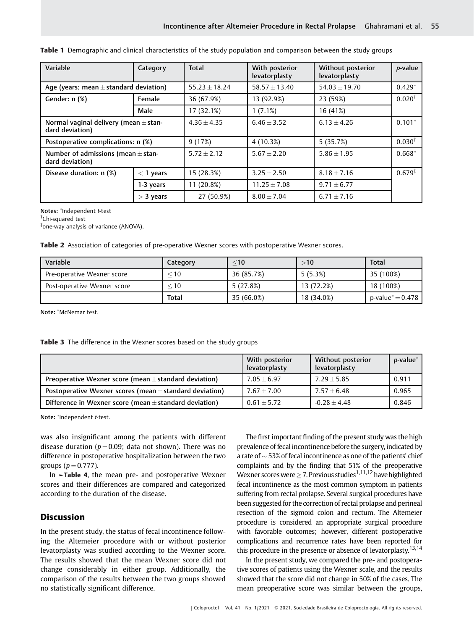| Variable                                                     | Category    | <b>Total</b>    | With posterior<br>levatorplasty | Without posterior<br>levatorplasty | p-value            |
|--------------------------------------------------------------|-------------|-----------------|---------------------------------|------------------------------------|--------------------|
| Age (years; mean $\pm$ standard deviation)                   |             | $55.23 + 18.24$ | $58.57 \pm 13.40$               | $54.03 \pm 19.70$                  | $0.429*$           |
| Gender: n (%)                                                | Female      | 36 (67.9%)      | 13 (92.9%)                      | 23 (59%)                           | $0.020^{\dagger}$  |
|                                                              | Male        | 17 (32.1%)      | 1(7.1%)                         | 16 (41%)                           |                    |
| Normal vaginal delivery (mean $\pm$ stan-<br>dard deviation) |             | $4.36 + 4.35$   | $6.46 + 3.52$                   | $6.13 + 4.26$                      | $0.101*$           |
| Postoperative complications: n (%)                           |             | 9(17%)          | 4 (10.3%)                       | 5(35.7%)                           | $0.030^{\dagger}$  |
| Number of admissions (mean $\pm$ stan-<br>dard deviation)    |             | $5.72 \pm 2.12$ | $5.67 + 2.20$                   | $5.86 + 1.95$                      | $0.668*$           |
| Disease duration: n (%)                                      | $<$ 1 years | 15 (28.3%)      | $3.25 \pm 2.50$                 | $8.18 \pm 7.16$                    | $0.679^{\ddagger}$ |
|                                                              | 1-3 years   | $11(20.8\%)$    | $11.25 + 7.08$                  | $9.71 + 6.77$                      |                    |
|                                                              | $>$ 3 years | 27 (50.9%)      | $8.00 \pm 7.04$                 | $6.71 + 7.16$                      |                    |

Table 1 Demographic and clinical characteristics of the study population and comparison between the study groups

Notes: Independent t-test

† Chi-squared test

‡ one-way analysis of variance (ANOVA).

Table 2 Association of categories of pre-operative Wexner scores with postoperative Wexner scores.

| Variable                    | Category     | $<$ 10     | >10        | Total                         |
|-----------------------------|--------------|------------|------------|-------------------------------|
| Pre-operative Wexner score  | $<$ 10       | 36 (85.7%) | 5(5.3%)    | 35 (100%)                     |
| Post-operative Wexner score | $<$ 10       | 5(27.8%)   | 13 (72.2%) | 18 (100%)                     |
|                             | <b>Total</b> | 35 (66.0%) | 18 (34.0%) | $p$ -value $^*$ $=$ 0.478 $ $ |

Note: McNemar test.

Table 3 The difference in the Wexner scores based on the study groups

|                                                             | With posterior<br>levatorplasty | Without posterior<br>levatorplasty | <i>p</i> -value |
|-------------------------------------------------------------|---------------------------------|------------------------------------|-----------------|
| Preoperative Wexner score (mean $\pm$ standard deviation)   | $7.05 + 6.97$                   | $7.29 + 5.85$                      | 0.911           |
| Postoperative Wexner scores (mean $\pm$ standard deviation) | $7.67 + 7.00$                   | $7.57 + 6.48$                      | 0.965           |
| Difference in Wexner score (mean $\pm$ standard deviation)  | $0.61 + 5.72$                   | $-0.28 + 4.48$                     | 0.846           |

Note: \*Independent t-test.

was also insignificant among the patients with different disease duration ( $p = 0.09$ ; data not shown). There was no difference in postoperative hospitalization between the two groups ( $p = 0.777$ ).

In ►Table 4, the mean pre- and postoperative Wexner scores and their differences are compared and categorized according to the duration of the disease.

# Discussion

In the present study, the status of fecal incontinence following the Altemeier procedure with or without posterior levatorplasty was studied according to the Wexner score. The results showed that the mean Wexner score did not change considerably in either group. Additionally, the comparison of the results between the two groups showed no statistically significant difference.

The first important finding of the present study was the high prevalence of fecal incontinence before the surgery, indicated by a rate of  $\sim$  53% of fecal incontinence as one of the patients' chief complaints and by the finding that 51% of the preoperative Wexner scores were  $\geq$  7. Previous studies<sup>1,11,12</sup> have highlighted fecal incontinence as the most common symptom in patients suffering from rectal prolapse. Several surgical procedures have been suggested for the correction of rectal prolapse and perineal resection of the sigmoid colon and rectum. The Altemeier procedure is considered an appropriate surgical procedure with favorable outcomes; however, different postoperative complications and recurrence rates have been reported for this procedure in the presence or absence of levatorplasty.<sup>13,14</sup>

In the present study, we compared the pre- and postoperative scores of patients using the Wexner scale, and the results showed that the score did not change in 50% of the cases. The mean preoperative score was similar between the groups,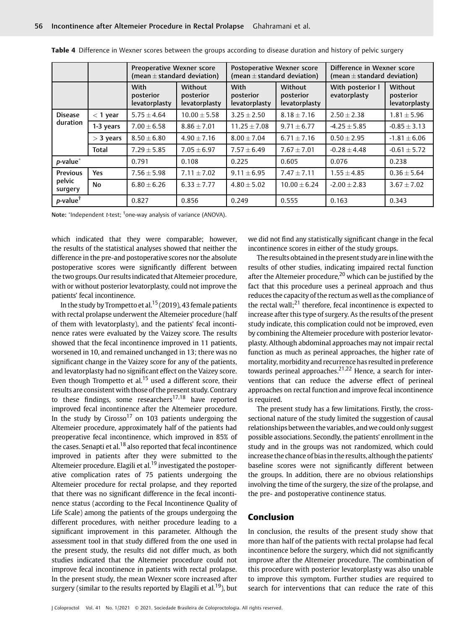|                                      |             | <b>Preoperative Wexner score</b><br>(mean $\pm$ standard deviation) |                                       | Postoperative Wexner score<br>(mean $\pm$ standard deviation) |                                       | Difference in Wexner score<br>(mean $\pm$ standard deviation) |                                       |
|--------------------------------------|-------------|---------------------------------------------------------------------|---------------------------------------|---------------------------------------------------------------|---------------------------------------|---------------------------------------------------------------|---------------------------------------|
|                                      |             | With<br>posterior<br>levatorplasty                                  | Without<br>posterior<br>levatorplasty | With<br>posterior<br>levatorplasty                            | Without<br>posterior<br>levatorplasty | With posterior I<br>evatorplasty                              | Without<br>posterior<br>levatorplasty |
| <b>Disease</b><br>duration           | $<$ 1 year  | $5.75 \pm 4.64$                                                     | $10.00 \pm 5.58$                      | $3.25 \pm 2.50$                                               | $8.18 + 7.16$                         | $2.50 + 2.38$                                                 | $1.81 \pm 5.96$                       |
|                                      | 1-3 years   | $7.00 \pm 6.58$                                                     | $8.86 \pm 7.01$                       | $11.25 \pm 7.08$                                              | $9.71 \pm 6.77$                       | $-4.25 \pm 5.85$                                              | $-0.85 \pm 3.13$                      |
|                                      | $>$ 3 years | $8.50 \pm 6.80$                                                     | $4.90 \pm 7.16$                       | $8.00 + 7.04$                                                 | $6.71 \pm 7.16$                       | $0.50 + 2.95$                                                 | $-1.81 \pm 6.06$                      |
|                                      | Total       | $7.29 \pm 5.85$                                                     | $7.05 \pm 6.97$                       | $7.57 \pm 6.49$                                               | $7.67 + 7.01$                         | $-0.28 + 4.48$                                                | $-0.61 \pm 5.72$                      |
| $p$ -value $*$                       |             | 0.791                                                               | 0.108                                 | 0.225                                                         | 0.605                                 | 0.076                                                         | 0.238                                 |
| <b>Previous</b><br>pelvic<br>surgery | <b>Yes</b>  | $7.56 \pm 5.98$                                                     | $7.11 \pm 7.02$                       | $9.11 \pm 6.95$                                               | $7.47 \pm 7.11$                       | $1.55 \pm 4.85$                                               | $0.36 \pm 5.64$                       |
|                                      | No          | $6.80 \pm 6.26$                                                     | $6.33 \pm 7.77$                       | $4.80 \pm 5.02$                                               | $10.00 \pm 6.24$                      | $-2.00 \pm 2.83$                                              | $3.67 \pm 7.02$                       |
| p-value <sup>†</sup>                 |             | 0.827                                                               | 0.856                                 | 0.249                                                         | 0.555                                 | 0.163                                                         | 0.343                                 |

Table 4 Difference in Wexner scores between the groups according to disease duration and history of pelvic surgery

Note: \*Independent *t*-test; <sup>†</sup>one-way analysis of variance (ANOVA).

which indicated that they were comparable; however, the results of the statistical analyses showed that neither the difference in the pre-and postoperative scores nor the absolute postoperative scores were significantly different between the two groups. Our resultsindicated that Altemeier procedure, with or without posterior levatorplasty, could not improve the patients' fecal incontinence.

In the study by Trompetto et al.<sup>15</sup> (2019), 43 female patients with rectal prolapse underwent the Altemeier procedure (half of them with levatorplasty), and the patients' fecal incontinence rates were evaluated by the Vaizey score. The results showed that the fecal incontinence improved in 11 patients, worsened in 10, and remained unchanged in 13; there was no significant change in the Vaizey score for any of the patients, and levatorplasty had no significant effect on the Vaizey score. Even though Trompetto et al.<sup>15</sup> used a different score, their results are consistent with those of the present study. Contrary to these findings, some researchers<sup>17,18</sup> have reported improved fecal incontinence after the Altemeier procedure. In the study by Cirosso<sup>17</sup> on 103 patients undergoing the Altemeier procedure, approximately half of the patients had preoperative fecal incontinence, which improved in 85% of the cases. Senapti et al.<sup>18</sup> also reported that fecal incontinence improved in patients after they were submitted to the Altemeier procedure. Elagili et al.<sup>19</sup> investigated the postoperative complication rates of 75 patients undergoing the Altemeier procedure for rectal prolapse, and they reported that there was no significant difference in the fecal incontinence status (according to the Fecal Incontinence Quality of Life Scale) among the patients of the groups undergoing the different procedures, with neither procedure leading to a significant improvement in this parameter. Although the assessment tool in that study differed from the one used in the present study, the results did not differ much, as both studies indicated that the Altemeier procedure could not improve fecal incontinence in patients with rectal prolapse. In the present study, the mean Wexner score increased after surgery (similar to the results reported by Elagili et al.<sup>19</sup>), but

we did not find any statistically significant change in the fecal incontinence scores in either of the study groups.

The results obtained in the present study are in line with the results of other studies, indicating impaired rectal function after the Altemeier procedure, $20$  which can be justified by the fact that this procedure uses a perineal approach and thus reduces the capacity of the rectum as well as the compliance of the rectal wall;<sup>21</sup> therefore, fecal incontinence is expected to increase after this type of surgery. As the results of the present study indicate, this complication could not be improved, even by combining the Altemeier procedure with posterior levatorplasty. Although abdominal approaches may not impair rectal function as much as perineal approaches, the higher rate of mortality, morbidity and recurrence has resulted in preference towards perineal approaches. $2^{1,22}$  Hence, a search for interventions that can reduce the adverse effect of perineal approaches on rectal function and improve fecal incontinence is required.

The present study has a few limitations. Firstly, the crosssectional nature of the study limited the suggestion of causal relationships between the variables, andwe could only suggest possible associations. Secondly, the patients' enrollment in the study and in the groups was not randomized, which could increase the chance of bias in the results, although the patients' baseline scores were not significantly different between the groups. In addition, there are no obvious relationships involving the time of the surgery, the size of the prolapse, and the pre- and postoperative continence status.

# Conclusion

In conclusion, the results of the present study show that more than half of the patients with rectal prolapse had fecal incontinence before the surgery, which did not significantly improve after the Altemeier procedure. The combination of this procedure with posterior levatorplasty was also unable to improve this symptom. Further studies are required to search for interventions that can reduce the rate of this